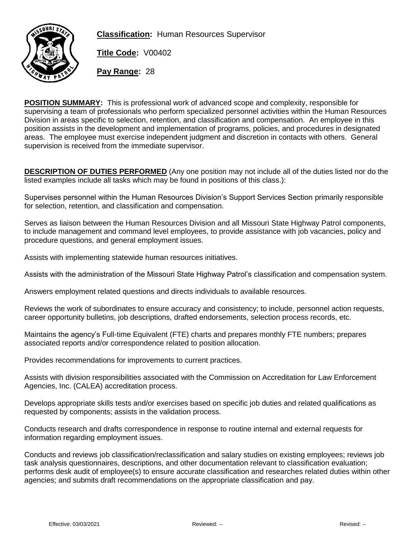

**Classification:** Human Resources Supervisor

**Title Code:** V00402

**Pay Range:** 28

**POSITION SUMMARY:** This is professional work of advanced scope and complexity, responsible for supervising a team of professionals who perform specialized personnel activities within the Human Resources Division in areas specific to selection, retention, and classification and compensation. An employee in this position assists in the development and implementation of programs, policies, and procedures in designated areas. The employee must exercise independent judgment and discretion in contacts with others. General supervision is received from the immediate supervisor.

**DESCRIPTION OF DUTIES PERFORMED** (Any one position may not include all of the duties listed nor do the listed examples include all tasks which may be found in positions of this class.):

Supervises personnel within the Human Resources Division's Support Services Section primarily responsible for selection, retention, and classification and compensation.

Serves as liaison between the Human Resources Division and all Missouri State Highway Patrol components, to include management and command level employees, to provide assistance with job vacancies, policy and procedure questions, and general employment issues.

Assists with implementing statewide human resources initiatives.

Assists with the administration of the Missouri State Highway Patrol's classification and compensation system.

Answers employment related questions and directs individuals to available resources.

Reviews the work of subordinates to ensure accuracy and consistency; to include, personnel action requests, career opportunity bulletins, job descriptions, drafted endorsements, selection process records, etc.

Maintains the agency's Full-time Equivalent (FTE) charts and prepares monthly FTE numbers; prepares associated reports and/or correspondence related to position allocation.

Provides recommendations for improvements to current practices.

Assists with division responsibilities associated with the Commission on Accreditation for Law Enforcement Agencies, Inc. (CALEA) accreditation process.

Develops appropriate skills tests and/or exercises based on specific job duties and related qualifications as requested by components; assists in the validation process.

Conducts research and drafts correspondence in response to routine internal and external requests for information regarding employment issues.

Conducts and reviews job classification/reclassification and salary studies on existing employees; reviews job task analysis questionnaires, descriptions, and other documentation relevant to classification evaluation; performs desk audit of employee(s) to ensure accurate classification and researches related duties within other agencies; and submits draft recommendations on the appropriate classification and pay.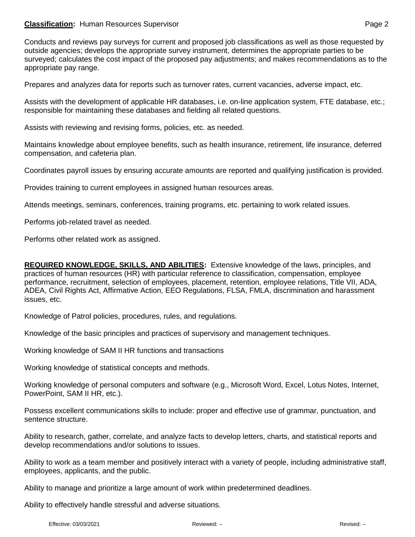## **Classification:** Human Resources Supervisor **Page 2 Page 2 Page 2**

Conducts and reviews pay surveys for current and proposed job classifications as well as those requested by outside agencies; develops the appropriate survey instrument, determines the appropriate parties to be surveyed; calculates the cost impact of the proposed pay adjustments; and makes recommendations as to the appropriate pay range.

Prepares and analyzes data for reports such as turnover rates, current vacancies, adverse impact, etc.

Assists with the development of applicable HR databases, i.e. on-line application system, FTE database, etc.; responsible for maintaining these databases and fielding all related questions.

Assists with reviewing and revising forms, policies, etc. as needed.

Maintains knowledge about employee benefits, such as health insurance, retirement, life insurance, deferred compensation, and cafeteria plan.

Coordinates payroll issues by ensuring accurate amounts are reported and qualifying justification is provided.

Provides training to current employees in assigned human resources areas.

Attends meetings, seminars, conferences, training programs, etc. pertaining to work related issues.

Performs job-related travel as needed.

Performs other related work as assigned.

**REQUIRED KNOWLEDGE, SKILLS, AND ABILITIES:** Extensive knowledge of the laws, principles, and practices of human resources (HR) with particular reference to classification, compensation, employee performance, recruitment, selection of employees, placement, retention, employee relations, Title VII, ADA, ADEA, Civil Rights Act, Affirmative Action, EEO Regulations, FLSA, FMLA, discrimination and harassment issues, etc.

Knowledge of Patrol policies, procedures, rules, and regulations.

Knowledge of the basic principles and practices of supervisory and management techniques.

Working knowledge of SAM II HR functions and transactions

Working knowledge of statistical concepts and methods.

Working knowledge of personal computers and software (e.g., Microsoft Word, Excel, Lotus Notes, Internet, PowerPoint, SAM II HR, etc.).

Possess excellent communications skills to include: proper and effective use of grammar, punctuation, and sentence structure.

Ability to research, gather, correlate, and analyze facts to develop letters, charts, and statistical reports and develop recommendations and/or solutions to issues.

Ability to work as a team member and positively interact with a variety of people, including administrative staff, employees, applicants, and the public.

Ability to manage and prioritize a large amount of work within predetermined deadlines.

Ability to effectively handle stressful and adverse situations.